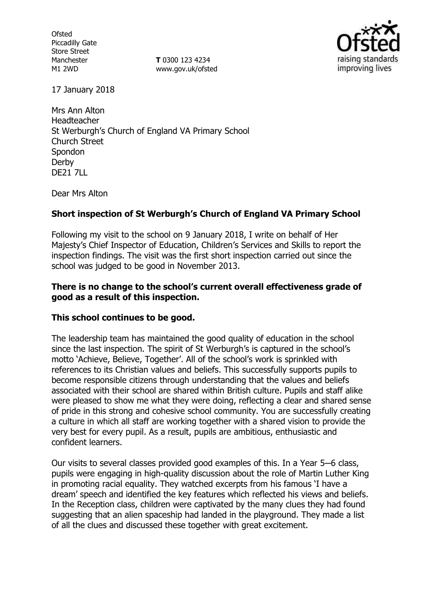**Ofsted** Piccadilly Gate Store Street Manchester M1 2WD

**T** 0300 123 4234 www.gov.uk/ofsted



17 January 2018

Mrs Ann Alton Headteacher St Werburgh's Church of England VA Primary School Church Street Spondon Derby DE21 7LL

Dear Mrs Alton

### **Short inspection of St Werburgh's Church of England VA Primary School**

Following my visit to the school on 9 January 2018, I write on behalf of Her Majesty's Chief Inspector of Education, Children's Services and Skills to report the inspection findings. The visit was the first short inspection carried out since the school was judged to be good in November 2013.

#### **There is no change to the school's current overall effectiveness grade of good as a result of this inspection.**

### **This school continues to be good.**

The leadership team has maintained the good quality of education in the school since the last inspection. The spirit of St Werburgh's is captured in the school's motto 'Achieve, Believe, Together'. All of the school's work is sprinkled with references to its Christian values and beliefs. This successfully supports pupils to become responsible citizens through understanding that the values and beliefs associated with their school are shared within British culture. Pupils and staff alike were pleased to show me what they were doing, reflecting a clear and shared sense of pride in this strong and cohesive school community. You are successfully creating a culture in which all staff are working together with a shared vision to provide the very best for every pupil. As a result, pupils are ambitious, enthusiastic and confident learners.

Our visits to several classes provided good examples of this. In a Year 5─6 class, pupils were engaging in high-quality discussion about the role of Martin Luther King in promoting racial equality. They watched excerpts from his famous 'I have a dream' speech and identified the key features which reflected his views and beliefs. In the Reception class, children were captivated by the many clues they had found suggesting that an alien spaceship had landed in the playground. They made a list of all the clues and discussed these together with great excitement.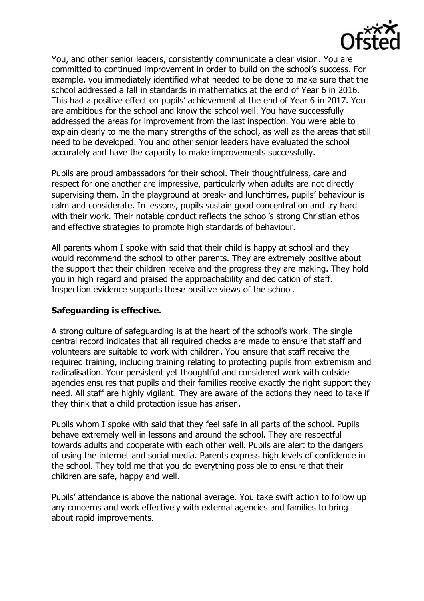

You, and other senior leaders, consistently communicate a clear vision. You are committed to continued improvement in order to build on the school's success. For example, you immediately identified what needed to be done to make sure that the school addressed a fall in standards in mathematics at the end of Year 6 in 2016. This had a positive effect on pupils' achievement at the end of Year 6 in 2017. You are ambitious for the school and know the school well. You have successfully addressed the areas for improvement from the last inspection. You were able to explain clearly to me the many strengths of the school, as well as the areas that still need to be developed. You and other senior leaders have evaluated the school accurately and have the capacity to make improvements successfully.

Pupils are proud ambassadors for their school. Their thoughtfulness, care and respect for one another are impressive, particularly when adults are not directly supervising them. In the playground at break- and lunchtimes, pupils' behaviour is calm and considerate. In lessons, pupils sustain good concentration and try hard with their work. Their notable conduct reflects the school's strong Christian ethos and effective strategies to promote high standards of behaviour.

All parents whom I spoke with said that their child is happy at school and they would recommend the school to other parents. They are extremely positive about the support that their children receive and the progress they are making. They hold you in high regard and praised the approachability and dedication of staff. Inspection evidence supports these positive views of the school.

### **Safeguarding is effective.**

A strong culture of safeguarding is at the heart of the school's work. The single central record indicates that all required checks are made to ensure that staff and volunteers are suitable to work with children. You ensure that staff receive the required training, including training relating to protecting pupils from extremism and radicalisation. Your persistent yet thoughtful and considered work with outside agencies ensures that pupils and their families receive exactly the right support they need. All staff are highly vigilant. They are aware of the actions they need to take if they think that a child protection issue has arisen.

Pupils whom I spoke with said that they feel safe in all parts of the school. Pupils behave extremely well in lessons and around the school. They are respectful towards adults and cooperate with each other well. Pupils are alert to the dangers of using the internet and social media. Parents express high levels of confidence in the school. They told me that you do everything possible to ensure that their children are safe, happy and well.

Pupils' attendance is above the national average. You take swift action to follow up any concerns and work effectively with external agencies and families to bring about rapid improvements.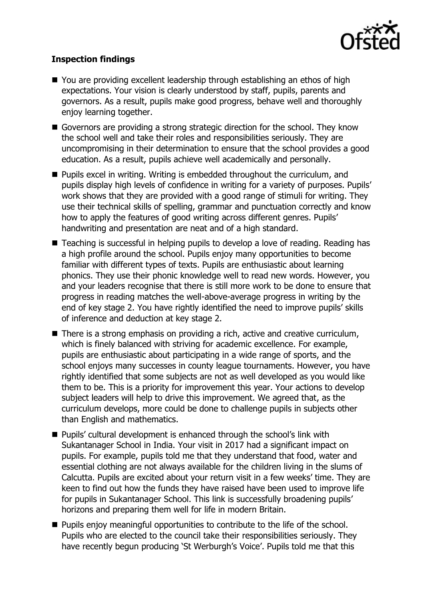

# **Inspection findings**

- You are providing excellent leadership through establishing an ethos of high expectations. Your vision is clearly understood by staff, pupils, parents and governors. As a result, pupils make good progress, behave well and thoroughly enjoy learning together.
- Governors are providing a strong strategic direction for the school. They know the school well and take their roles and responsibilities seriously. They are uncompromising in their determination to ensure that the school provides a good education. As a result, pupils achieve well academically and personally.
- **Pupils excel in writing. Writing is embedded throughout the curriculum, and** pupils display high levels of confidence in writing for a variety of purposes. Pupils' work shows that they are provided with a good range of stimuli for writing. They use their technical skills of spelling, grammar and punctuation correctly and know how to apply the features of good writing across different genres. Pupils' handwriting and presentation are neat and of a high standard.
- Teaching is successful in helping pupils to develop a love of reading. Reading has a high profile around the school. Pupils enjoy many opportunities to become familiar with different types of texts. Pupils are enthusiastic about learning phonics. They use their phonic knowledge well to read new words. However, you and your leaders recognise that there is still more work to be done to ensure that progress in reading matches the well-above-average progress in writing by the end of key stage 2. You have rightly identified the need to improve pupils' skills of inference and deduction at key stage 2.
- There is a strong emphasis on providing a rich, active and creative curriculum, which is finely balanced with striving for academic excellence. For example, pupils are enthusiastic about participating in a wide range of sports, and the school enjoys many successes in county league tournaments. However, you have rightly identified that some subjects are not as well developed as you would like them to be. This is a priority for improvement this year. Your actions to develop subject leaders will help to drive this improvement. We agreed that, as the curriculum develops, more could be done to challenge pupils in subjects other than English and mathematics.
- Pupils' cultural development is enhanced through the school's link with Sukantanager School in India. Your visit in 2017 had a significant impact on pupils. For example, pupils told me that they understand that food, water and essential clothing are not always available for the children living in the slums of Calcutta. Pupils are excited about your return visit in a few weeks' time. They are keen to find out how the funds they have raised have been used to improve life for pupils in Sukantanager School. This link is successfully broadening pupils' horizons and preparing them well for life in modern Britain.
- **Pupils enjoy meaningful opportunities to contribute to the life of the school.** Pupils who are elected to the council take their responsibilities seriously. They have recently begun producing 'St Werburgh's Voice'. Pupils told me that this